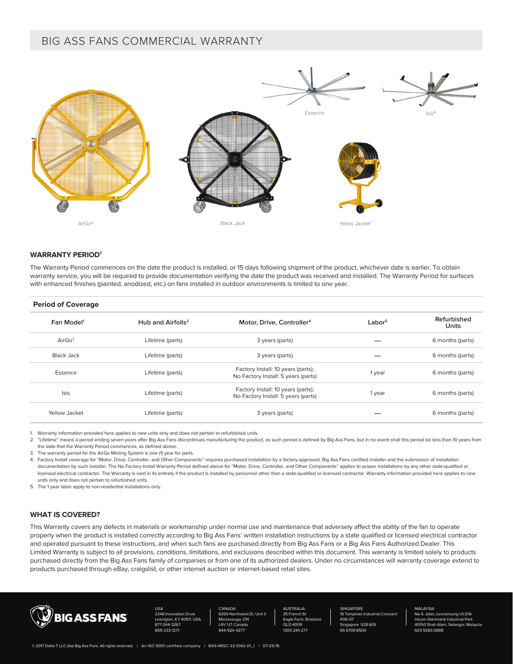# BIG ASS FANS COMMERCIAL WARRANTY



## **WARRANTY PERIOD1**

The Warranty Period commences on the date the product is installed, or 15 days following shipment of the product, whichever date is earlier. To obtain warranty service, you will be required to provide documentation verifying the date the product was received and installed. The Warranty Period for surfaces with enhanced finishes (painted, anodized, etc.) on fans installed in outdoor environments is limited to one year.

#### **Period of Coverage**

| Fan Model <sup>1</sup> | Hub and Airfoils <sup>2</sup> | Motor, Drive, Controller <sup>4</sup>                                     | Labor <sup>5</sup> | Refurbished<br>Units |
|------------------------|-------------------------------|---------------------------------------------------------------------------|--------------------|----------------------|
| AirGo <sup>3</sup>     | Lifetime (parts)              | 3 years (parts)                                                           |                    | 6 months (parts)     |
| Black Jack             | Lifetime (parts)              | 3 years (parts)                                                           |                    | 6 months (parts)     |
| Essence                | Lifetime (parts)              | Factory Install: 10 years (parts);<br>No Factory Install: 5 years (parts) | 1 year             | 6 months (parts)     |
| <b>Isis</b>            | Lifetime (parts)              | Factory Install: 10 years (parts);<br>No Factory Install: 5 years (parts) | 1 year             | 6 months (parts)     |
| Yellow Jacket          | Lifetime (parts)              | 3 years (parts)                                                           |                    | 6 months (parts)     |

1. Warranty information provided here applies to new units only and does not pertain to refurbished units.

2. "Lifetime" means a period ending seven years after Big Ass Fans discontinues manufacturing the product, as such period is defined by Big Ass Fans, but in no event shall this period be less than 10 years from the date that the Warranty Period commences, as defined above.

3. The warranty period for the AirGo Misting System is one (1) year for parts.

4. Factory Install coverage for "Motor, Drive, Controller, and Other Components" requires purchased installation by a factory-approved, Big Ass Fans certified installer and the submission of installation documentation by such installer. The No Factory Install Warranty Period defined above for "Motor, Drive, Controller, and Other Components" applies to proper installations by any other state-qualified or licensed electrical contractor. The Warranty is void in its entirety if the product is installed by personnel other than a state-qualified or licensed contractor. Warranty information provided here applies to new units only and does not pertain to refurbished units.

5. The 1 year labor apply to non-residential installations only.

# **WHAT IS COVERED?**

This Warranty covers any defects in materials or workmanship under normal use and maintenance that adversely affect the ability of the fan to operate properly when the product is installed correctly according to Big Ass Fans' written installation instructions by a state qualified or licensed electrical contractor and operated pursuant to these instructions, and when such fans are purchased directly from Big Ass Fans or a Big Ass Fans Authorized Dealer. This Limited Warranty is subject to all provisions, conditions, limitations, and exclusions described within this document. This warranty is limited solely to products purchased directly from the Big Ass Fans family of companies or from one of its authorized dealers. Under no circumstances will warranty coverage extend to products purchased through eBay, craigslist, or other internet auction or internet-based retail sites.



USA ation Drive Lexington, KY 40511, USA 877-244-3267 859-233-127

CANADA est Dr. Unit 3  $\cap$ L4V 1J7, Ca 844-924-4277

AUSTRALIA 35 French St Eagle Farm, Brisbane QLD 4009 1300 244 277

**SINGAPORE** trial Crescent #06-07 528 605 65 6709 8500

**MALAYSIA** 

No 4, Jalan Jururancang U1/21A Hicom Glenmarie Industrial Park 150 Shah Alam, Selangor, Malaysia 603 5565 0888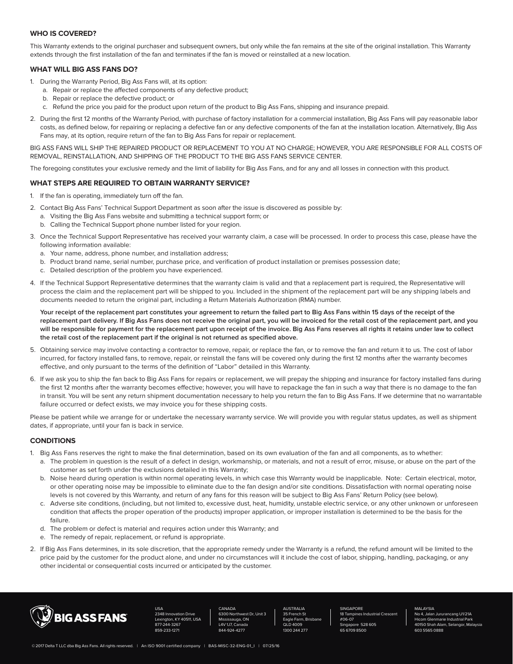# **WHO IS COVERED?**

This Warranty extends to the original purchaser and subsequent owners, but only while the fan remains at the site of the original installation. This Warranty extends through the first installation of the fan and terminates if the fan is moved or reinstalled at a new location.

# **WHAT WILL BIG ASS FANS DO?**

- 1. During the Warranty Period, Big Ass Fans will, at its option:
	- a. Repair or replace the affected components of any defective product;
	- b. Repair or replace the defective product; or
	- c. Refund the price you paid for the product upon return of the product to Big Ass Fans, shipping and insurance prepaid.
- 2. During the first 12 months of the Warranty Period, with purchase of factory installation for a commercial installation, Big Ass Fans will pay reasonable labor costs, as defined below, for repairing or replacing a defective fan or any defective components of the fan at the installation location. Alternatively, Big Ass Fans may, at its option, require return of the fan to Big Ass Fans for repair or replacement.

BIG ASS FANS WILL SHIP THE REPAIRED PRODUCT OR REPLACEMENT TO YOU AT NO CHARGE; HOWEVER, YOU ARE RESPONSIBLE FOR ALL COSTS OF REMOVAL, REINSTALLATION, AND SHIPPING OF THE PRODUCT TO THE BIG ASS FANS SERVICE CENTER.

The foregoing constitutes your exclusive remedy and the limit of liability for Big Ass Fans, and for any and all losses in connection with this product.

#### **WHAT STEPS ARE REQUIRED TO OBTAIN WARRANTY SERVICE?**

- 1. If the fan is operating, immediately turn off the fan.
- 2. Contact Big Ass Fans' Technical Support Department as soon after the issue is discovered as possible by:
	- a. Visiting the Big Ass Fans website and submitting a technical support form; or
	- b. Calling the Technical Support phone number listed for your region.
- 3. Once the Technical Support Representative has received your warranty claim, a case will be processed. In order to process this case, please have the following information available:
	- a. Your name, address, phone number, and installation address;
	- b. Product brand name, serial number, purchase price, and verification of product installation or premises possession date;
	- c. Detailed description of the problem you have experienced.
- 4. If the Technical Support Representative determines that the warranty claim is valid and that a replacement part is required, the Representative will process the claim and the replacement part will be shipped to you. Included in the shipment of the replacement part will be any shipping labels and documents needed to return the original part, including a Return Materials Authorization (RMA) number.

Your receipt of the replacement part constitutes your agreement to return the failed part to Big Ass Fans within 15 days of the receipt of the **replacement part delivery. If Big Ass Fans does not receive the original part, you will be invoiced for the retail cost of the replacement part, and you will be responsible for payment for the replacement part upon receipt of the invoice. Big Ass Fans reserves all rights it retains under law to collect the retail cost of the replacement part if the original is not returned as specified above.** 

- 5. Obtaining service may involve contacting a contractor to remove, repair, or replace the fan, or to remove the fan and return it to us. The cost of labor incurred, for factory installed fans, to remove, repair, or reinstall the fans will be covered only during the first 12 months after the warranty becomes effective, and only pursuant to the terms of the definition of "Labor" detailed in this Warranty.
- 6. If we ask you to ship the fan back to Big Ass Fans for repairs or replacement, we will prepay the shipping and insurance for factory installed fans during the first 12 months after the warranty becomes effective; however, you will have to repackage the fan in such a way that there is no damage to the fan in transit. You will be sent any return shipment documentation necessary to help you return the fan to Big Ass Fans. If we determine that no warrantable failure occurred or defect exists, we may invoice you for these shipping costs.

Please be patient while we arrange for or undertake the necessary warranty service. We will provide you with regular status updates, as well as shipment dates, if appropriate, until your fan is back in service.

## **CONDITIONS**

- 1. Big Ass Fans reserves the right to make the final determination, based on its own evaluation of the fan and all components, as to whether:
	- a. The problem in question is the result of a defect in design, workmanship, or materials, and not a result of error, misuse, or abuse on the part of the customer as set forth under the exclusions detailed in this Warranty;
	- b. Noise heard during operation is within normal operating levels, in which case this Warranty would be inapplicable. Note: Certain electrical, motor, or other operating noise may be impossible to eliminate due to the fan design and/or site conditions. Dissatisfaction with normal operating noise levels is not covered by this Warranty, and return of any fans for this reason will be subject to Big Ass Fans' Return Policy (see below).
	- c. Adverse site conditions, (including, but not limited to, excessive dust, heat, humidity, unstable electric service, or any other unknown or unforeseen condition that affects the proper operation of the products) improper application, or improper installation is determined to be the basis for the failure.
	- d. The problem or defect is material and requires action under this Warranty; and
	- e. The remedy of repair, replacement, or refund is appropriate.
- 2. If Big Ass Fans determines, in its sole discretion, that the appropriate remedy under the Warranty is a refund, the refund amount will be limited to the price paid by the customer for the product alone, and under no circumstances will it include the cost of labor, shipping, handling, packaging, or any other incidental or consequential costs incurred or anticipated by the customer.



USA **Tion Drive** Lexington, KY 40511, USA -3267 859-233-1271

CANADA et Dr, Unit 3 Mississauga, ON L4V 1J7, Canada 844-924-4277

AUSTRALIA 35 French St Eagle Farm, Brisbane QLD 4009 1300 244 277

**SINGAPORE Irial Crescent** #06-07 528 605 65 6709 8500

MALAYSIA

No 4, Jalan Jururancang U1/21A Hicom Glenmarie Industrial Park 50 Shah Alam, Selangor, Malaysia 603 5565 0888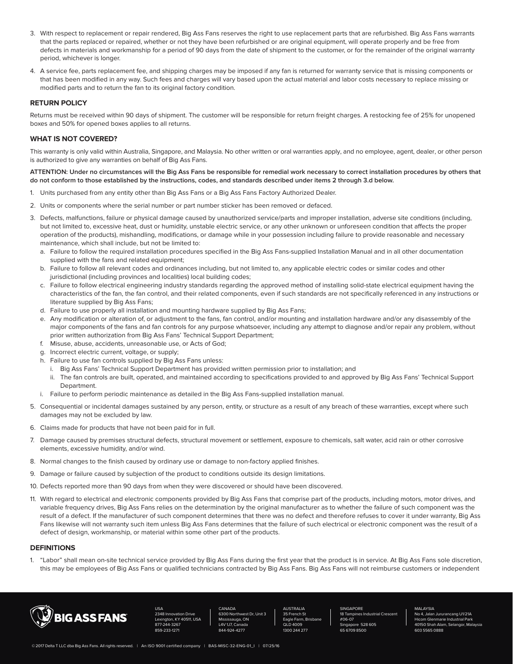- 3. With respect to replacement or repair rendered, Big Ass Fans reserves the right to use replacement parts that are refurbished. Big Ass Fans warrants that the parts replaced or repaired, whether or not they have been refurbished or are original equipment, will operate properly and be free from defects in materials and workmanship for a period of 90 days from the date of shipment to the customer, or for the remainder of the original warranty period, whichever is longer.
- 4. A service fee, parts replacement fee, and shipping charges may be imposed if any fan is returned for warranty service that is missing components or that has been modified in any way. Such fees and charges will vary based upon the actual material and labor costs necessary to replace missing or modified parts and to return the fan to its original factory condition.

## **RETURN POLICY**

Returns must be received within 90 days of shipment. The customer will be responsible for return freight charges. A restocking fee of 25% for unopened boxes and 50% for opened boxes applies to all returns.

#### **WHAT IS NOT COVERED?**

This warranty is only valid within Australia, Singapore, and Malaysia. No other written or oral warranties apply, and no employee, agent, dealer, or other person is authorized to give any warranties on behalf of Big Ass Fans.

#### **ATTENTION: Under no circumstances will the Big Ass Fans be responsible for remedial work necessary to correct installation procedures by others that do not conform to those established by the instructions, codes, and standards described under items 2 through 3.d below.**

- 1. Units purchased from any entity other than Big Ass Fans or a Big Ass Fans Factory Authorized Dealer.
- 2. Units or components where the serial number or part number sticker has been removed or defaced.
- 3. Defects, malfunctions, failure or physical damage caused by unauthorized service/parts and improper installation, adverse site conditions (including, but not limited to, excessive heat, dust or humidity, unstable electric service, or any other unknown or unforeseen condition that affects the proper operation of the products), mishandling, modifications, or damage while in your possession including failure to provide reasonable and necessary maintenance, which shall include, but not be limited to:
	- a. Failure to follow the required installation procedures specified in the Big Ass Fans-supplied Installation Manual and in all other documentation supplied with the fans and related equipment;
	- b. Failure to follow all relevant codes and ordinances including, but not limited to, any applicable electric codes or similar codes and other jurisdictional (including provinces and localities) local building codes;
	- c. Failure to follow electrical engineering industry standards regarding the approved method of installing solid-state electrical equipment having the characteristics of the fan, the fan control, and their related components, even if such standards are not specifically referenced in any instructions or literature supplied by Big Ass Fans;
	- d. Failure to use properly all installation and mounting hardware supplied by Big Ass Fans;
	- e. Any modification or alteration of, or adjustment to the fans, fan control, and/or mounting and installation hardware and/or any disassembly of the major components of the fans and fan controls for any purpose whatsoever, including any attempt to diagnose and/or repair any problem, without prior written authorization from Big Ass Fans' Technical Support Department;
	- f. Misuse, abuse, accidents, unreasonable use, or Acts of God;
	- g. Incorrect electric current, voltage, or supply;
	- h. Failure to use fan controls supplied by Big Ass Fans unless:
		- i. Big Ass Fans' Technical Support Department has provided written permission prior to installation; and
		- ii. The fan controls are built, operated, and maintained according to specifications provided to and approved by Big Ass Fans' Technical Support Department.
	- i. Failure to perform periodic maintenance as detailed in the Big Ass Fans-supplied installation manual.
- 5. Consequential or incidental damages sustained by any person, entity, or structure as a result of any breach of these warranties, except where such damages may not be excluded by law.
- 6. Claims made for products that have not been paid for in full.
- 7. Damage caused by premises structural defects, structural movement or settlement, exposure to chemicals, salt water, acid rain or other corrosive elements, excessive humidity, and/or wind.
- 8. Normal changes to the finish caused by ordinary use or damage to non-factory applied finishes.
- 9. Damage or failure caused by subjection of the product to conditions outside its design limitations.
- 10. Defects reported more than 90 days from when they were discovered or should have been discovered.
- 11. With regard to electrical and electronic components provided by Big Ass Fans that comprise part of the products, including motors, motor drives, and variable frequency drives, Big Ass Fans relies on the determination by the original manufacturer as to whether the failure of such component was the result of a defect. If the manufacturer of such component determines that there was no defect and therefore refuses to cover it under warranty, Big Ass Fans likewise will not warranty such item unless Big Ass Fans determines that the failure of such electrical or electronic component was the result of a defect of design, workmanship, or material within some other part of the products.

# **DEFINITIONS**

1. "Labor" shall mean on-site technical service provided by Big Ass Fans during the first year that the product is in service. At Big Ass Fans sole discretion, this may be employees of Big Ass Fans or qualified technicians contracted by Big Ass Fans. Big Ass Fans will not reimburse customers or independent



USA **Tion Drive** Lexington, KY 40511, USA 1-3267 859-233-1271

CANADA et Dr, Unit 3 Mississauga, ON L4V 1J7, Canada 844-924-4277

AUSTRALIA 35 French St Eagle Farm, Brisbane QLD 4009 1300 244 277

**SINGAPORE Irial Crescent** #06-07 528 605 65 6709 8500

#### **MALAYSIA**

No 4, Jalan Jururancang U1/21A<br>Hicom Glenmarie Industrial Park Hicom Glenmarie Industrial Park 50 Shah Alam, Selangor, Malaysia 603 5565 0888